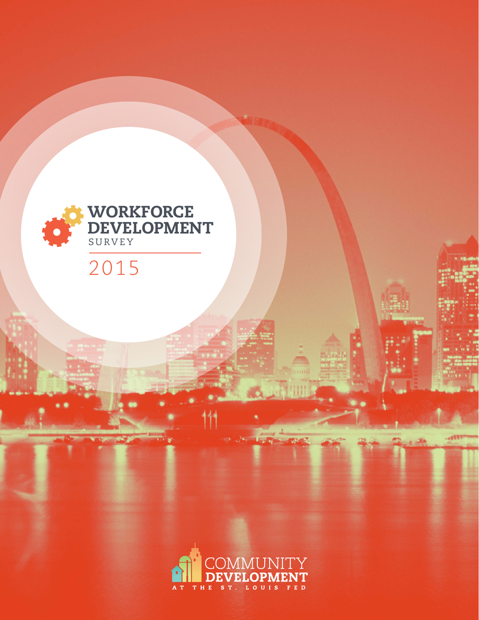

# 2015

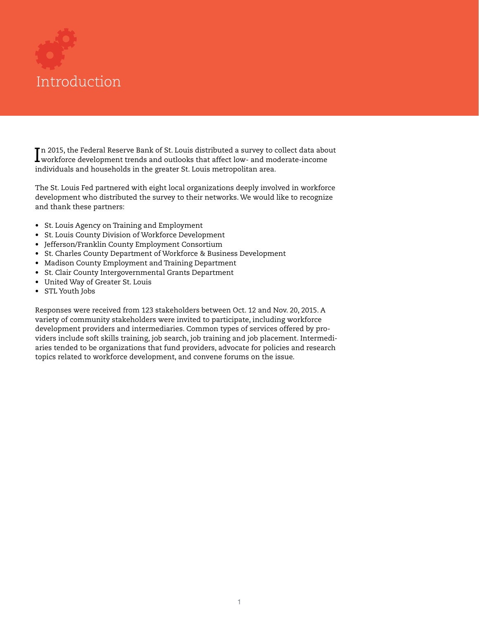

In 2015, the Federal Reserve Bank of St. Louis distributed a survey to collect data about<br>workforce development trends and outlooks that affect low- and moderate-income workforce development trends and outlooks that affect low- and moderate-income individuals and households in the greater St. Louis metropolitan area.

The St. Louis Fed partnered with eight local organizations deeply involved in workforce development who distributed the survey to their networks. We would like to recognize and thank these partners:

- St. Louis Agency on Training and Employment
- St. Louis County Division of Workforce Development
- Jefferson/Franklin County Employment Consortium
- St. Charles County Department of Workforce & Business Development
- Madison County Employment and Training Department
- St. Clair County Intergovernmental Grants Department
- United Way of Greater St. Louis
- STL Youth Jobs

Responses were received from 123 stakeholders between Oct. 12 and Nov. 20, 2015. A variety of community stakeholders were invited to participate, including workforce development providers and intermediaries. Common types of services offered by providers include soft skills training, job search, job training and job placement. Intermediaries tended to be organizations that fund providers, advocate for policies and research topics related to workforce development, and convene forums on the issue.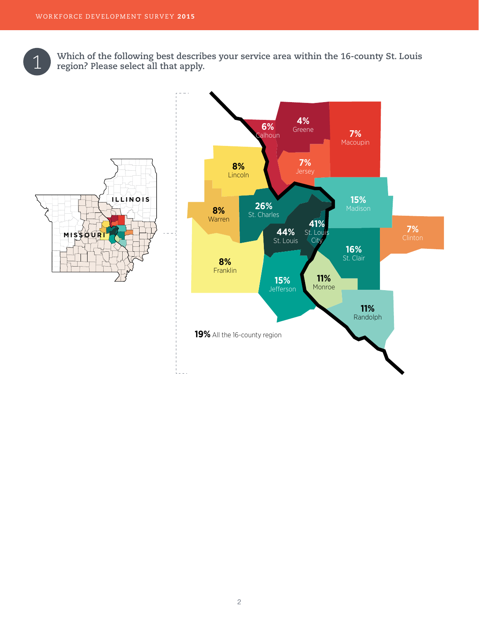Which of the following best describes your service area within the 16-county St. Louis region? Please select all that apply.

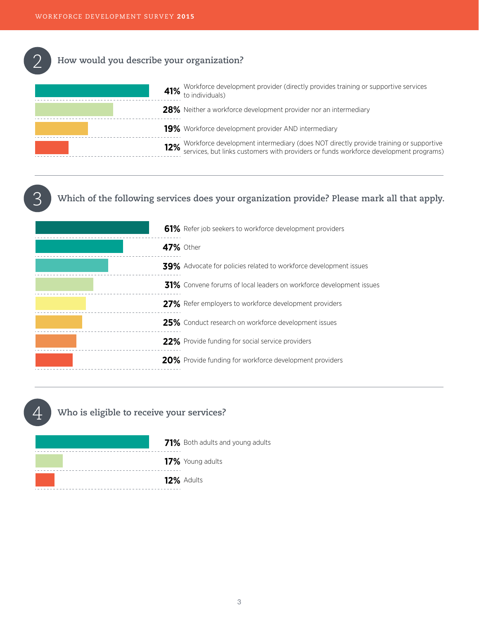3

#### **How would you describe your organization?**  2

| 41% Workforce development provider (directly provides training or supportive services of to individuals)                                                                       |
|--------------------------------------------------------------------------------------------------------------------------------------------------------------------------------|
| 28% Neither a workforce development provider nor an intermediary                                                                                                               |
| <b>19%</b> Workforce development provider AND intermediary                                                                                                                     |
| 12% Workforce development intermediary (does NOT directly provide training or supportive services, but links customers with providers or funds workforce development programs) |
|                                                                                                                                                                                |

### **Which of the following services does your organization provide? Please mark all that apply.**

|                  | 61% Refer job seekers to workforce development providers                 |
|------------------|--------------------------------------------------------------------------|
| <b>47%</b> Other |                                                                          |
|                  | <b>39%</b> Advocate for policies related to workforce development issues |
|                  | 31% Convene forums of local leaders on workforce development issues      |
|                  | 27% Refer employers to workforce development providers                   |
|                  | 25% Conduct research on workforce development issues                     |
|                  | 22% Provide funding for social service providers                         |
|                  | 20% Provide funding for workforce development providers                  |
|                  |                                                                          |

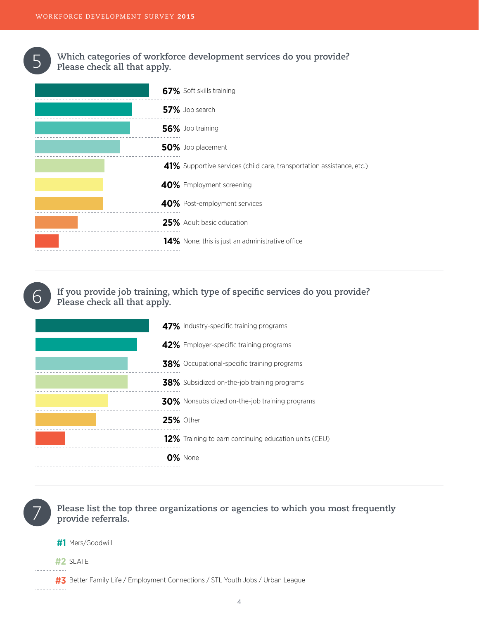

6

**Which categories of workforce development services do you provide?** 5 **Please check all that apply.**

| 67% Soft skills training                                              |
|-----------------------------------------------------------------------|
| 57% Job search                                                        |
| 56% Job training                                                      |
| 50% Job placement                                                     |
| 41% Supportive services (child care, transportation assistance, etc.) |
| 40% Employment screening                                              |
| 40% Post-employment services                                          |
| 25% Adult basic education                                             |
| 14% None; this is just an administrative office                       |

**If you provide job training, which type of specific services do you provide? Please check all that apply.**

| 47% Industry-specific training programs                      |
|--------------------------------------------------------------|
| 42% Employer-specific training programs                      |
| <b>38%</b> Occupational-specific training programs           |
| <b>38%</b> Subsidized on-the-job training programs           |
| 30% Nonsubsidized on-the-job training programs               |
| <b>25% Other</b>                                             |
| <b>12%</b> Training to earn continuing education units (CEU) |
| 0% None                                                      |
|                                                              |

7

**Please list the top three organizations or agencies to which you most frequently provide referrals.**

**#1** Mers/Goodwill **#2** SLATE

**#3** Better Family Life / Employment Connections / STL Youth Jobs / Urban League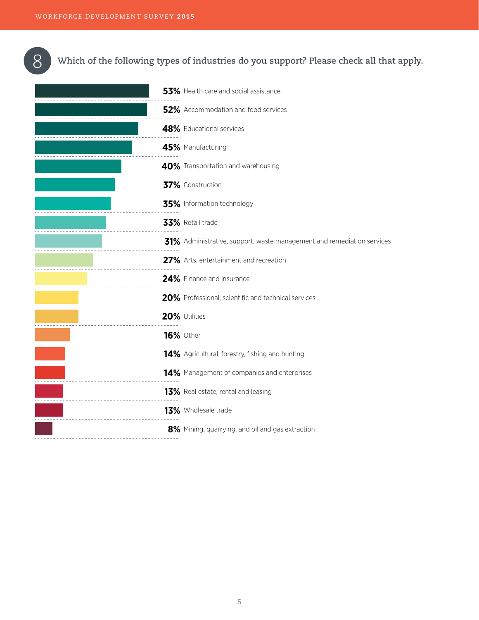

### 8 **Which of the following types of industries do you support? Please check all that apply.**

| 53% Health care and social assistance                                  |
|------------------------------------------------------------------------|
| 52% Accommodation and food services                                    |
| 48% Educational services                                               |
| 45% Manufacturing                                                      |
| 40% Transportation and warehousing                                     |
| 37% Construction                                                       |
| 35% Information technology                                             |
| 33% Retail trade                                                       |
| 31% Administrative, support, waste management and remediation services |
| 27% Arts, entertainment and recreation                                 |
| 24% Finance and insurance                                              |
| 20% Professional, scientific and technical services                    |
| 20% Utilities                                                          |
| <b>16% Other</b>                                                       |
| 14% Agricultural, forestry, fishing and hunting                        |
| 14% Management of companies and enterprises                            |
| 13% Real estate, rental and leasing                                    |
| 13% Wholesale trade                                                    |
| 8% Mining, quarrying, and oil and gas extraction                       |
|                                                                        |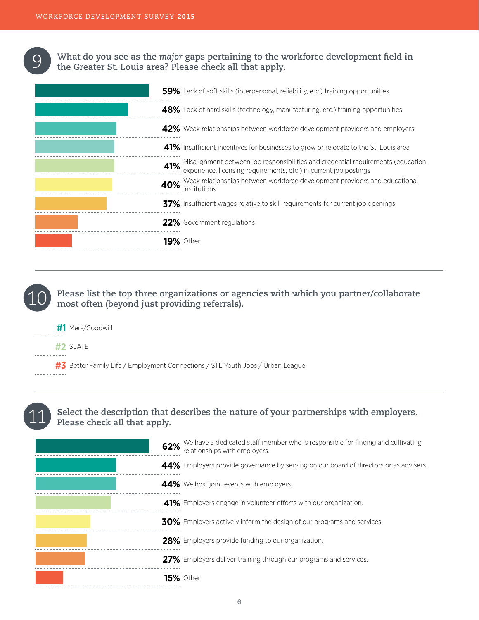**What do you see as the** *major* **gaps pertaining to the workforce development field in the Greater St. Louis area? Please check all that apply.** 

|     | 59% Lack of soft skills (interpersonal, reliability, etc.) training opportunities                                                                   |
|-----|-----------------------------------------------------------------------------------------------------------------------------------------------------|
|     | 48% Lack of hard skills (technology, manufacturing, etc.) training opportunities                                                                    |
|     | 42% Weak relationships between workforce development providers and employers                                                                        |
|     | 41% Insufficient incentives for businesses to grow or relocate to the St. Louis area                                                                |
| 41% | Misalignment between job responsibilities and credential requirements (education, experience, licensing requirements, etc.) in current job postings |
| 40% | Weak relationships between workforce development providers and educational<br>institutions                                                          |
|     | 37% Insufficient wages relative to skill requirements for current job openings                                                                      |
|     | 22% Government regulations                                                                                                                          |
|     | <b>19%</b> Other                                                                                                                                    |
|     |                                                                                                                                                     |

**Please list the top three organizations or agencies with which you partner/collaborate most often (beyond just providing referrals).**

| #1 Mers/Goodwill                                                               |  |
|--------------------------------------------------------------------------------|--|
| #2 SLATE                                                                       |  |
| #3 Better Family Life / Employment Connections / STL Youth Jobs / Urban League |  |



10

9

### **Select the description that describes the nature of your partnerships with employers. Please check all that apply.**

| 62%              | We have a dedicated staff member who is responsible for finding and cultivating relationships with employers. |
|------------------|---------------------------------------------------------------------------------------------------------------|
|                  | 44% Employers provide governance by serving on our board of directors or as advisers.                         |
|                  | 44% We host joint events with employers.                                                                      |
|                  | 41% Employers engage in volunteer efforts with our organization.                                              |
|                  | <b>30%</b> Employers actively inform the design of our programs and services.                                 |
|                  | 28% Employers provide funding to our organization.                                                            |
|                  | 27% Employers deliver training through our programs and services.                                             |
| <b>15%</b> Other |                                                                                                               |